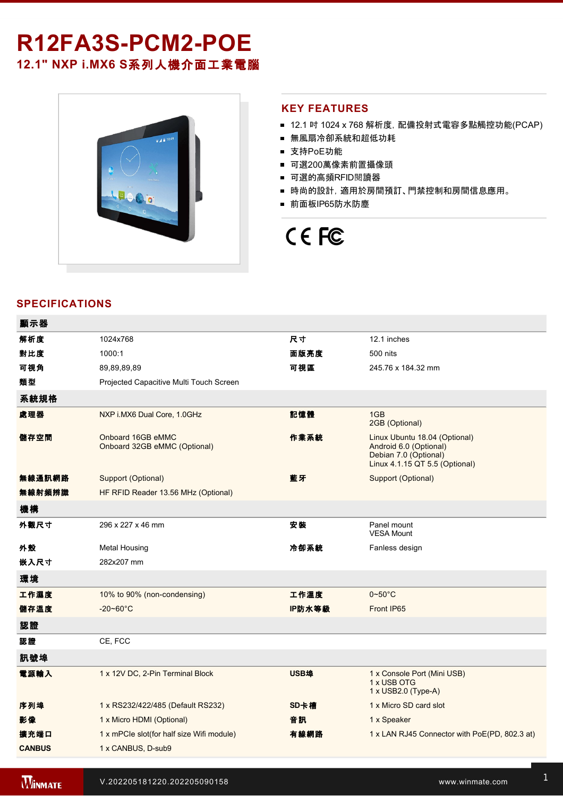# R12FA3S-PCM2-POE **12.1" NXP i.MX6 S**系列人機介面工業電腦



#### **KEY FEATURES**

- 12.1 吋 1024 x 768 解析度, 配備投射式電容多點觸控功能(PCAP)
- 無風扇冷卻系統和超低功耗
- 支持PoE功能
- 可選200萬像素前置攝像頭
- 可選的高頻RFID閱讀器
- 時尚的設計, 適用於房間預訂、門禁控制和房間信息應用。
- 前面板IP65防水防塵

# CE FC

### **SPECIFICATIONS**

| 顯示器           |                                                   |        |                                                                                                                    |  |  |
|---------------|---------------------------------------------------|--------|--------------------------------------------------------------------------------------------------------------------|--|--|
| 解析度           | 1024x768                                          | 尺寸     | 12.1 inches                                                                                                        |  |  |
| 對比度           | 1000:1                                            | 面版亮度   | 500 nits                                                                                                           |  |  |
| 可視角           | 89,89,89,89                                       | 可視區    | 245.76 x 184.32 mm                                                                                                 |  |  |
| 類型            | Projected Capacitive Multi Touch Screen           |        |                                                                                                                    |  |  |
| 系統規格          |                                                   |        |                                                                                                                    |  |  |
| 處理器           | NXP i.MX6 Dual Core, 1.0GHz                       | 記憶體    | 1GB<br>2GB (Optional)                                                                                              |  |  |
| 儲存空間          | Onboard 16GB eMMC<br>Onboard 32GB eMMC (Optional) | 作業系統   | Linux Ubuntu 18.04 (Optional)<br>Android 6.0 (Optional)<br>Debian 7.0 (Optional)<br>Linux 4.1.15 QT 5.5 (Optional) |  |  |
| 無線通訊網路        | Support (Optional)                                | 藍牙     | Support (Optional)                                                                                                 |  |  |
| 無線射頻辨識        | HF RFID Reader 13.56 MHz (Optional)               |        |                                                                                                                    |  |  |
| 機構            |                                                   |        |                                                                                                                    |  |  |
| 外觀尺寸          | 296 x 227 x 46 mm                                 | 安装     | Panel mount<br><b>VESA Mount</b>                                                                                   |  |  |
| 外殼            | <b>Metal Housing</b>                              | 冷卻系統   | Fanless design                                                                                                     |  |  |
| 嵌入尺寸          | 282x207 mm                                        |        |                                                                                                                    |  |  |
| 環境            |                                                   |        |                                                                                                                    |  |  |
| 工作濕度          | 10% to 90% (non-condensing)                       | 工作溫度   | $0 - 50$ °C                                                                                                        |  |  |
| 儲存溫度          | $-20 - 60^{\circ}$ C                              | IP防水等級 | Front IP65                                                                                                         |  |  |
| 認證            |                                                   |        |                                                                                                                    |  |  |
| 認證            | CE, FCC                                           |        |                                                                                                                    |  |  |
| 訊號埠           |                                                   |        |                                                                                                                    |  |  |
| 電源輸入          | 1 x 12V DC, 2-Pin Terminal Block                  | USB埠   | 1 x Console Port (Mini USB)<br>1 x USB OTG<br>1 x USB2.0 (Type-A)                                                  |  |  |
| 序列埠           | 1 x RS232/422/485 (Default RS232)                 | SD卡槽   | 1 x Micro SD card slot                                                                                             |  |  |
| 影像            | 1 x Micro HDMI (Optional)                         | 音訊     | 1 x Speaker                                                                                                        |  |  |
| 擴充端口          | 1 x mPCle slot(for half size Wifi module)         | 有線網路   | 1 x LAN RJ45 Connector with PoE(PD, 802.3 at)                                                                      |  |  |
| <b>CANBUS</b> | 1 x CANBUS, D-sub9                                |        |                                                                                                                    |  |  |
|               |                                                   |        |                                                                                                                    |  |  |

配件